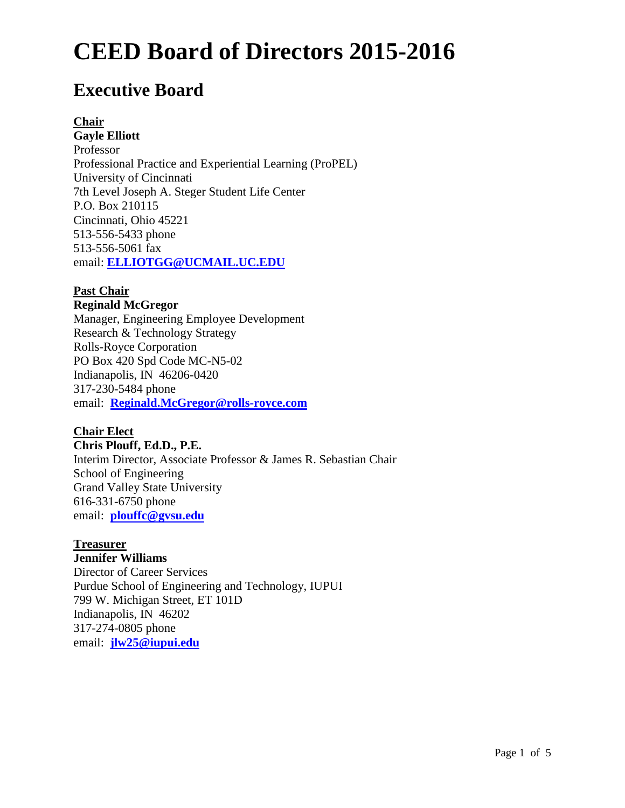# **Executive Board**

# **Chair**

**Gayle Elliott** Professor Professional Practice and Experiential Learning (ProPEL) University of Cincinnati 7th Level Joseph A. Steger Student Life Center P.O. Box 210115 Cincinnati, Ohio 45221 513-556-5433 phone 513-556-5061 fax email: **[ELLIOTGG@UCMAIL.UC.EDU](mailto:ELLIOTGG@UCMAIL.UC.EDU)**

# **Past Chair**

### **Reginald McGregor**

Manager, Engineering Employee Development Research & Technology Strategy Rolls-Royce Corporation PO Box 420 Spd Code MC-N5-02 Indianapolis, IN 46206-0420 317-230-5484 phone email: **[Reginald.McGregor@rolls-royce.com](mailto:Reginald.McGregor@rolls-royce.com)**

# **Chair Elect**

#### **Chris Plouff, Ed.D., P.E.**

Interim Director, Associate Professor & James R. Sebastian Chair School of Engineering Grand Valley State University 616-331-6750 phone email: **[plouffc@gvsu.edu](mailto:plouffc@gvsu.edu)**

# **Treasurer**

# **Jennifer Williams**

Director of Career Services Purdue School of Engineering and Technology, IUPUI 799 W. Michigan Street, ET 101D Indianapolis, IN 46202 317-274-0805 phone email: **[jlw25@iupui.edu](mailto:jlw25@iupui.edu)**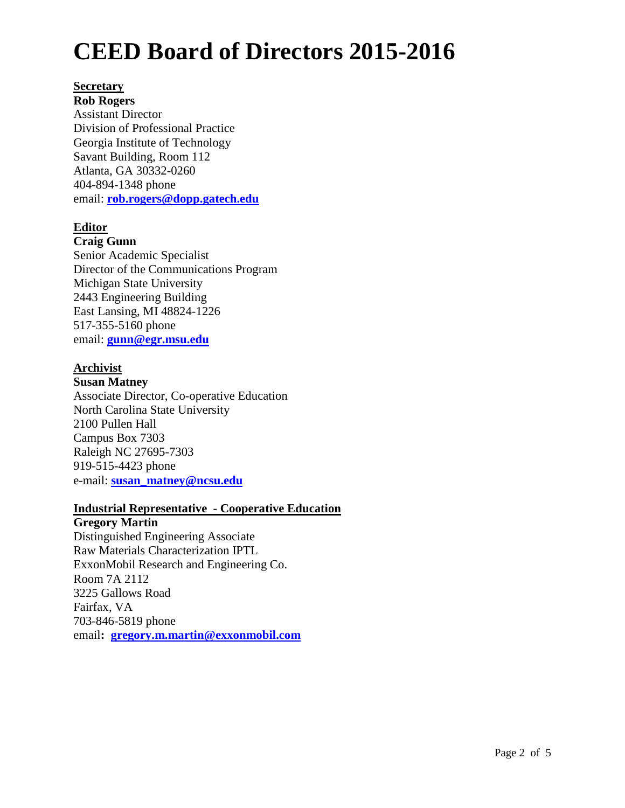#### **Secretary**

**Rob Rogers** Assistant Director Division of Professional Practice Georgia Institute of Technology Savant Building, Room 112 Atlanta, GA 30332-0260 404-894-1348 phone email: **[rob.rogers@dopp.gatech.edu](mailto:rob.rogers@dopp.gatech.edu)**

# **Editor**

#### **Craig Gunn**

Senior Academic Specialist Director of the Communications Program Michigan State University 2443 Engineering Building East Lansing, MI 48824-1226 517-355-5160 phone email: **[gunn@egr.msu.edu](mailto:gunn@egr.msu.edu)**

# **Archivist**

### **Susan Matney**

Associate Director, Co-operative Education North Carolina State University 2100 Pullen Hall Campus Box 7303 Raleigh NC 27695-7303 919-515-4423 phone e-mail: **[susan\\_matney@ncsu.edu](mailto:susan_matney@ncsu.edu)**

#### **Industrial Representative - Cooperative Education**

### **Gregory Martin**

Distinguished Engineering Associate Raw Materials Characterization IPTL ExxonMobil Research and Engineering Co. Room 7A 2112 3225 Gallows Road Fairfax, VA 703-846-5819 phone email**: [gregory.m.martin@exxonmobil.com](mailto:gregory.m.martin@exxonmobil.com)**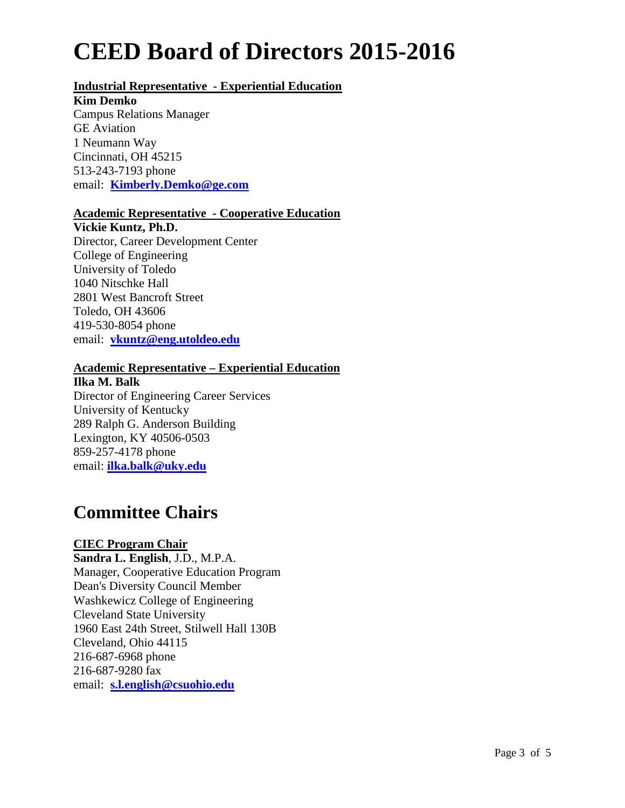# **Industrial Representative - Experiential Education**

#### **Kim Demko**

Campus Relations Manager GE Aviation 1 Neumann Way Cincinnati, OH 45215 513-243-7193 phone email: **[Kimberly.Demko@ge.com](mailto:Kimberly.Demko@ge.com)**

### **Academic Representative - Cooperative Education**

**Vickie Kuntz, Ph.D.**

Director, Career Development Center College of Engineering University of Toledo 1040 Nitschke Hall 2801 West Bancroft Street Toledo, OH 43606 419-530-8054 phone email: **[vkuntz@eng.utoldeo.edu](mailto:vkuntz@eng.utoldeo.edu)**

# **Academic Representative – Experiential Education**

**Ilka M. Balk** Director of Engineering Career Services University of Kentucky 289 Ralph G. Anderson Building Lexington, KY 40506-0503 859-257-4178 phone email: **[ilka.balk@uky.edu](mailto:ibalk@engr.uky.edu)**

# **Committee Chairs**

# **CIEC Program Chair**

**Sandra L. English**, J.D., M.P.A. Manager, Cooperative Education Program Dean's Diversity Council Member Washkewicz College of Engineering Cleveland State University 1960 East 24th Street, Stilwell Hall 130B Cleveland, Ohio 44115 216-687-6968 phone 216-687-9280 fax email: **[s.l.english@csuohio.edu](mailto:s.l.english@csuohio.edu)**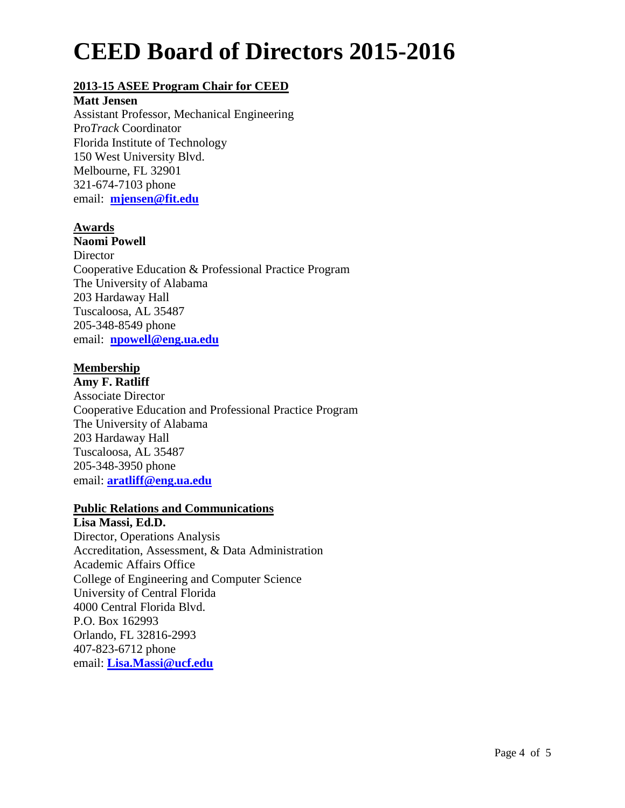# **2013-15 ASEE Program Chair for CEED**

### **Matt Jensen**

Assistant Professor, Mechanical Engineering Pro*Track* Coordinator Florida Institute of Technology 150 West University Blvd. Melbourne, FL 32901 321-674-7103 phone email: **[mjensen@fit.edu](mailto:mjensen@fit.edu)**

# **Awards**

### **Naomi Powell**

**Director** Cooperative Education & Professional Practice Program The University of Alabama 203 Hardaway Hall Tuscaloosa, AL 35487 205-348-8549 phone email: **[npowell@eng.ua.edu](mailto:npowell@eng.ua.edu)**

# **Membership**

**Amy F. Ratliff** Associate Director Cooperative Education and Professional Practice Program The University of Alabama 203 Hardaway Hall Tuscaloosa, AL 35487 205-348-3950 phone email: **[aratliff@eng.ua.edu](mailto:aratliff@eng.ua.edu)**

# **Public Relations and Communications**

**Lisa Massi, Ed.D.** Director, Operations Analysis Accreditation, Assessment, & Data Administration Academic Affairs Office College of Engineering and Computer Science University of Central Florida 4000 Central Florida Blvd. P.O. Box 162993 Orlando, FL 32816-2993 407-823-6712 phone email: **[Lisa.Massi@ucf.edu](mailto:lmassi@mail.ucf.edu)**